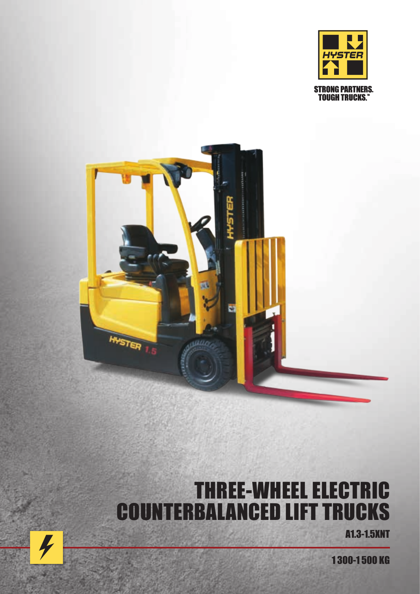



# THREE-WHEEL ELECTRIC COUNTERBALANCED LIFT TRUCKS

A1.3-1.5XNT

1 300-1 500 KG

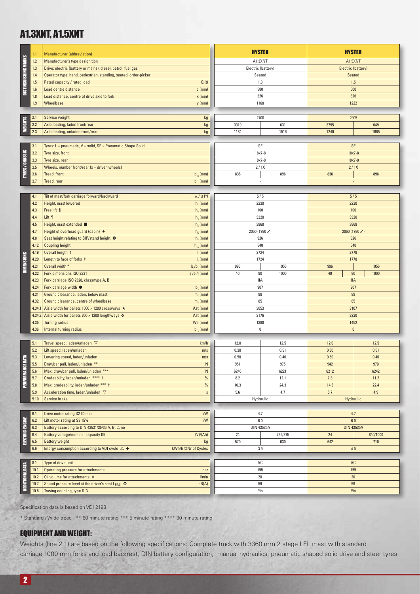## A1.3XNT, A1.5XNT

|                      | 1.1             | <b>Manufacturer</b> (abbreviation)                                                                                   |                         | <b>HYSTER</b>        |              | <b>HYSTER</b>       |              |  |
|----------------------|-----------------|----------------------------------------------------------------------------------------------------------------------|-------------------------|----------------------|--------------|---------------------|--------------|--|
|                      | $1.2$           | Manufacturer's type designition<br>A1.3XNT                                                                           |                         | A1.5XNT              |              |                     |              |  |
|                      | 1.3             | Drive: electric (battery or mains), diesel, petrol, fuel gas                                                         |                         | Electric (battery)   |              | Electric (battery)  |              |  |
|                      | 1.4             | Operator type: hand, pedestrian, standing, seated, order-picker                                                      |                         | Seated               |              | Seated              |              |  |
|                      | 1.5             | Rated capacity / rated load                                                                                          | Q(t)                    | 1.3                  |              | 1.5                 |              |  |
| DISTINGUISHING MARKS | 1.6             | Load centre distance                                                                                                 | $c$ (mm)                | 500                  |              | 500                 |              |  |
|                      | 1.8             | Load distance, centre of drive axle to fork                                                                          | $x$ (mm)                | 326                  |              | 326                 |              |  |
|                      | 1.9             | Wheelbase                                                                                                            | $y$ (mm)                | 1168                 |              | 1222                |              |  |
|                      |                 |                                                                                                                      |                         |                      |              |                     |              |  |
|                      | 2.1<br>2.2      | Service weight                                                                                                       | kg                      | 2700                 |              | 2905<br>3755<br>649 |              |  |
| <b>WEIGHTS</b>       | 2.3             | Axle loading, laden front/rear<br>Axle loading, unladen front/rear                                                   | kg<br>kg                | 3319<br>1184         | 631<br>1516  | 1240                | 1665         |  |
|                      |                 |                                                                                                                      |                         |                      |              |                     |              |  |
|                      | 3.1             | Tyres: L = pneumatic, V = solid, SE = Pneumatic Shape Solid                                                          |                         |                      | SE           |                     | <b>SE</b>    |  |
|                      | 3.2             | Tyre size, front                                                                                                     |                         | $18x7 - 8$           |              | $18x7 - 8$          |              |  |
|                      | 3.3             | Tyre size, rear                                                                                                      |                         | $18x7 - 8$           |              | $18x7 - 8$          |              |  |
| TYRES/CHASSIS        | 3.5             | Wheels, number front/rear $(x =$ driven wheels)                                                                      |                         | 2/1X                 |              | 2/1X                |              |  |
|                      | 3.6             | Tread, front                                                                                                         | $b_{10}$ (mm)           | 836<br>896           |              | 836                 | 896          |  |
|                      | 3.7             | Tread, rear                                                                                                          | $b_{11}$ (mm)           | $\blacksquare$       |              | ÷                   |              |  |
|                      |                 |                                                                                                                      |                         |                      |              |                     |              |  |
|                      | 4.1             | Tilt of mast/fork carriage forward/backward                                                                          | $\alpha$ / $\beta$ (°)  | 5/5                  |              | 5/5                 |              |  |
|                      | 4.2             | Height, mast lowered                                                                                                 | h, (mm)                 | 2230                 |              | 2230                |              |  |
|                      | 4.3             | Free lift ¶                                                                                                          | $h2$ (mm)               | 100                  |              | 100                 |              |  |
|                      | 4.4             | Lift ¶<br>Height, mast extended ■                                                                                    | $h3$ (mm)               | 3320                 |              | 3320                |              |  |
|                      | 4.5<br>4.7      | Height of overhead guard (cabin) $+$                                                                                 | $h_a$ (mm)<br>$hs$ (mm) | 3868<br>2060 (1980√) |              | 3868                |              |  |
|                      | 4.8             | Seat height relating to SIP/stand height O                                                                           | $h2$ (mm)               | 926                  |              | 2060 (1980√)<br>926 |              |  |
|                      | 4.12            | <b>Coupling height</b>                                                                                               | $h_{10}$ (mm)           | 540                  |              | 540                 |              |  |
|                      | 4.19            | Overall length ‡                                                                                                     | $l1$ (mm)               | 2724                 |              | 2778                |              |  |
| <b>DIMENSIONS</b>    | 4.20            | Length to face of forks ‡                                                                                            | $I2$ (mm)               | 1724                 |              | 1778                |              |  |
|                      | 4.21            | Overall width *                                                                                                      | $b1/b2$ (mm)            | 996                  | 1056         | 996                 | 1056         |  |
|                      | 4.22            | Fork dimensions ISO 2331                                                                                             | $s/e$ / (mm)            | 40<br>80             | 1000         | $40\,$<br>80        | 1000         |  |
|                      | 4.23            | Fork carriage ISO 2328, class/type A, B                                                                              |                         | IIA                  |              | <b>IIA</b>          |              |  |
|                      | 4.24            | Fork carriage width $\bullet$                                                                                        | $b2$ (mm)               | 907                  |              | 907                 |              |  |
|                      | 4.31            | Ground clearance, laden, below mast                                                                                  | m, (mm)                 | 88                   |              | 88<br>85            |              |  |
|                      | 4.32            | Ground clearance, centre of wheelbase                                                                                | $m2$ (mm)               | 85<br>3053           |              | 3107                |              |  |
|                      | 4.34.<br>4.34.2 | Aisle width for pallets $1000 \times 1200$ crossways $\star$<br>Aisle width for pallets $800 \times 1200$ lengthways | Ast (mm)<br>Ast (mm)    | 3176                 |              | 3230                |              |  |
|                      | 4.35            | <b>Turning radius</b>                                                                                                | Wa (mm)                 | 1398                 |              | 1452                |              |  |
|                      | 4.36            | Internal turning radius                                                                                              | $b_{13}$ (mm)           | $\pmb{0}$            |              | $\pmb{0}$           |              |  |
|                      |                 |                                                                                                                      |                         |                      |              |                     |              |  |
|                      | 5.1             | Travel speed, laden/unladen $\,\nabla$                                                                               | km/h                    | 12.0                 | 12.5         | 12.0                | 12.5         |  |
|                      | 5.2             | Lift speed, laden/unladen                                                                                            | m/s                     | 0.30                 | 0.51         | 0.30                | 0.51         |  |
| É                    | 5.3             | Lowering speed, laden/unladen                                                                                        | m/s                     | 0.50                 | 0.46         | 0.50                | 0.46         |  |
| PERFORMANCE DI       | 5.5             | Drawbar pull, laden/unladen **                                                                                       | ${\sf N}$               | 951                  | 975          | 942                 | 970          |  |
|                      | 5.6             | Max. drawbar pull, laden/unladen ***                                                                                 | ${\sf N}$               | 6246                 | 6221         | 6212                | 6242         |  |
|                      | 5.7<br>5.8      | Gradeability, laden/unladen **** t<br>Max. gradeability, laden/unladen *** t                                         | $\%$<br>$\%$            | 8.2<br>16.3          | 12.1<br>24.3 | 7.3<br>14.5         | 11.2<br>22.4 |  |
|                      | 5.9             | Acceleration time, laden/unladen $\,\nabla\,$                                                                        | $\mathsf S$             | 5.6                  | 4.7          | 5.7                 | 4.9          |  |
|                      | 5.10            | Service brake                                                                                                        |                         |                      |              | Hydraulic           |              |  |
|                      |                 | Hydraulic                                                                                                            |                         |                      |              |                     |              |  |
|                      | 6.1             | Drive motor rating S2 60 min                                                                                         | kW                      | 4.7                  |              | 4.7                 |              |  |
|                      | 6.2             | Lift motor rating at S3 15%                                                                                          | kW                      | 6.0                  |              | 6.0                 |              |  |
| ELECTRIC-ENGINE      | 6.3             | Battery according to DIN 43531/35/36 A, B, C, no                                                                     |                         | DIN 43535A           |              | <b>DIN 43535A</b>   |              |  |
|                      | 6.4             | Battery voltage/nominal capacity K5                                                                                  | (V)/(Ah)                | 24                   | 735/875      | 24                  | 840/1000     |  |
|                      | 6.5             | <b>Battery weight</b>                                                                                                | kg                      | 570                  | 630          | 642                 | 710          |  |
|                      | 6.6             | Energy consumption according to VDI cycle $\triangle$ +                                                              | kWh/h @Nr of Cycles     | 3.9                  |              | 4.0                 |              |  |
|                      |                 |                                                                                                                      |                         |                      |              |                     |              |  |
|                      | 8.1             | Type of drive unit                                                                                                   |                         | AC                   |              | AC                  |              |  |
|                      | 10.1<br>10.2    | Operating pressure for attachments<br>Oil volume for attachments $\Diamond$                                          | bar<br>l/min            | 155                  |              | 155                 |              |  |
| ADDITIONAL DATA      | 10.7            | Sound pressure level at the driver's seat L <sub>PAZ</sub> ©                                                         | dB(A)                   | 20<br>59             |              | 20<br>59            |              |  |
|                      | 10.8            | Towing coupling, type DIN                                                                                            |                         | Pin                  |              | Pin                 |              |  |
|                      |                 |                                                                                                                      |                         |                      |              |                     |              |  |
|                      |                 | Specification data is based on VDI 2198                                                                              |                         |                      |              |                     |              |  |
|                      |                 |                                                                                                                      |                         |                      |              |                     |              |  |
|                      |                 | * Standard / Wide tread ** 60 minute rating *** 5 minute rating **** 30 minute rating                                |                         |                      |              |                     |              |  |

#### EQUIPMENT AND WEIGHT:

Weights (line 2.1) are based on the following specifications: Complete truck with 3360 mm 2 stage LFL mast with standard carriage,1000 mm forks and load backrest, DIN battery configuration, manual hydraulics, pneumatic shaped solid drive and steer tyres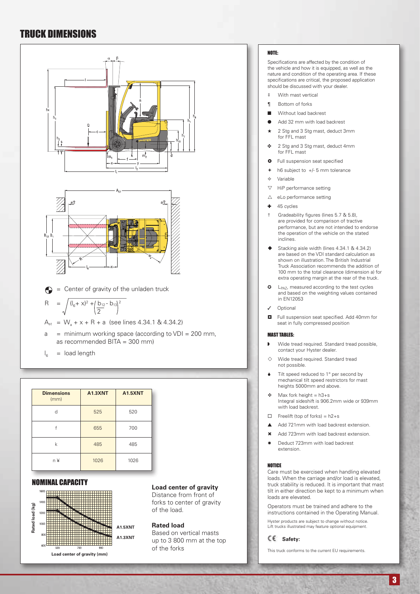## TRUCK DIMENSIONS



 $I<sub>6</sub>$  = load length

| <b>Dimensions</b><br>(mm) | <b>A1.3XNT</b> | <b>A1.5XNT</b> |
|---------------------------|----------------|----------------|
| d                         | 525            | 520            |
|                           | 655            | 700            |
| k                         | 485            | 485            |
| n ¥                       | 1026           | 1026           |

#### NOMINAL CAPACITY



#### **Load center of gravity**

Distance from front of forks to center of gravity of the load.

#### **Rated load**

Based on vertical masts up to 3 800 mm at the top of the forks

#### NOTE:

Specifications are affected by the condition of the vehicle and how it is equipped, as well as the nature and condition of the operating area. If these specifications are critical, the proposed application should be discussed with your dealer.

- ‡ With mast vertical
- ¶ Bottom of forks
- Without load backrest
- Add 32 mm with load backrest
- 2 Stg and 3 Stg mast, deduct 3mm for FFL mast
- ◆ 2 Stg and 3 Stg mast, deduct 4mm for FFL mast
- $\bullet$  Full suspension seat specified
- $\div$  h6 subject to  $+/-$  5 mm tolerance
- $\Leftrightarrow$  Variable
- $\nabla$  HiP performance setting
- $\triangle$  eLo performance setting
- $+ 45$  cycles
- † Gradeability figures (lines 5.7 & 5.8), are provided for comparison of tractive performance, but are not intended to endorse the operation of the vehicle on the stated inclines.
- Stacking aisle width (lines 4.34.1 & 4.34.2) are based on the VDI standard calculation as shown on illustration. The British Industrial Truck Association recommends the addition of 100 mm to the total clearance (dimension a) for extra operating margin at the rear of the truck.
- $\bullet$  L<sub>PAZ</sub>, measured according to the test cycles and based on the weighting values contained in EN12053
	- Optional
- Full suspension seat specified. Add 40mm for seat in fully compressed position

#### MAST TABLES:

- Wide tread required. Standard tread possible, contact your Hyster dealer.
- $\diamond$  Wide tread required. Standard tread not possible.
- Tilt speed reduced to 1° per second by mechanical tilt speed restrictors for mast heights 5000mm and above.
- $\triangleleft$  Max fork height = h3+s Integral sideshift is 906.2mm wide or 939mm with load backrest.
- $\Box$  Freelift (top of forks) = h2+s
- $\triangle$  Add 721mm with load backrest extension.
- \* Add 723mm with load backrest extension.
- Deduct 723mm with load backrest extension.

#### NOTICE

Care must be exercised when handling elevated loads. When the carriage and/or load is elevated, truck stability is reduced. It is important that mast tilt in either direction be kept to a minimum when loads are elevated.

Operators must be trained and adhere to the instructions contained in the Operating Manual.

Hyster products are subject to change without notice. Lift trucks illustrated may feature optional equipment.

#### **Safety:**

This truck conforms to the current EU requirements.

3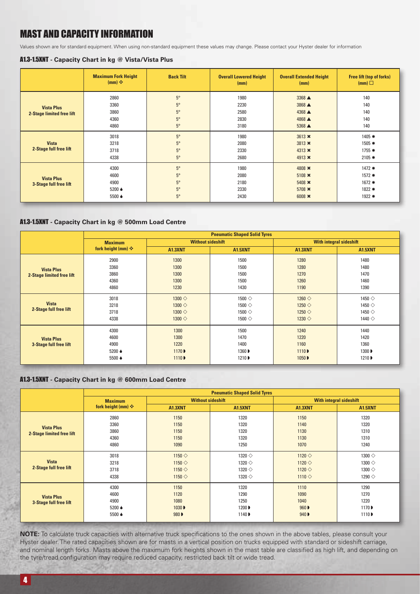## MAST AND CAPACITY INFORMATION

Values shown are for standard equipment. When using non-standard equipment these values may change. Please contact your Hyster dealer for information

#### A1.3-1.5XNT **- Capacity Chart in kg @ Vista/Vista Plus**

|                           | <b>Maximum Fork Height</b><br>$(mm)$ $\div$ | <b>Back Tilt</b> | <b>Overall Lowered Height</b><br>(mm) | <b>Overall Extended Height</b><br>(mm) | <b>Free lift (top of forks)</b><br>(mm) |
|---------------------------|---------------------------------------------|------------------|---------------------------------------|----------------------------------------|-----------------------------------------|
|                           | 2860                                        | $5^\circ$        | 1980                                  | 3368 ▲                                 | 140                                     |
| <b>Vista Plus</b>         | 3360                                        | $5^\circ$        | 2230                                  | 3868 $\triangle$                       | 140                                     |
| 2-Stage limited free lift | 3860                                        | $5^\circ$        | 2580                                  | 4368 $\triangle$                       | 140                                     |
|                           | 4360                                        | $5^{\circ}$      | 2830                                  | 4868 $\triangle$                       | 140                                     |
|                           | 4860                                        | $5^\circ$        | 3180                                  | $5368 \triangle$                       | 140                                     |
|                           | 3018                                        | $5^{\circ}$      | 1980                                  | $3613 \times$                          | 1405 *                                  |
| <b>Vista</b>              | 3218                                        | $5^{\circ}$      | 2080                                  | $3813 \times$                          | 1505 *                                  |
| 2-Stage full free lift    | 3718                                        | $5^{\circ}$      | 2330                                  | 4313 $\bm{\times}$                     | $1755$ *                                |
|                           | 4338                                        | $5^\circ$        | 2680                                  | 4913 $\bm{\times}$                     | $2105$ *                                |
|                           | 4300                                        | $5^\circ$        | 1980                                  | 4808 ×                                 | 1472 *                                  |
| <b>Vista Plus</b>         | 4600                                        | $5^\circ$        | 2080                                  | $5108 \times$                          | 1572 *                                  |
| 3-Stage full free lift    | 4900                                        | $5^\circ$        | 2180                                  | 5408 $\times$                          | $1672$ *                                |
|                           | 5200 ♦                                      | $5^\circ$        | 2330                                  | $5708 \times$                          | 1822 *                                  |
|                           | 5500 ♦                                      | $5^\circ$        | 2430                                  | 6008 $\bm{\times}$                     | 1922 *                                  |

#### A1.3-1.5XNT **- Capacity Chart in kg @ 500mm Load Centre**

|                                                       | <b>Pneumatic Shaped Solid Tyres</b>      |                                                                                      |                                                                          |                                                                              |                                                                          |  |
|-------------------------------------------------------|------------------------------------------|--------------------------------------------------------------------------------------|--------------------------------------------------------------------------|------------------------------------------------------------------------------|--------------------------------------------------------------------------|--|
|                                                       | <b>Maximum</b>                           | <b>Without sideshift</b>                                                             |                                                                          | <b>With integral sideshift</b>                                               |                                                                          |  |
|                                                       | fork height (mm) $\div$                  | <b>A1.3XNT</b>                                                                       | <b>A1.5XNT</b>                                                           | <b>A1.3XNT</b>                                                               | <b>A1.5XNT</b>                                                           |  |
| <b>Vista Plus</b><br><b>2-Stage limited free lift</b> | 2900<br>3360<br>3860<br>4360<br>4860     | 1300<br>1300<br>1300<br>1300<br>1230                                                 | 1500<br>1500<br>1500<br>1500<br>1430                                     | 1280<br>1280<br>1270<br>1260<br>1190                                         | 1480<br>1480<br>1470<br>1460<br>1390                                     |  |
| <b>Vista</b><br>2-Stage full free lift                | 3018<br>3218<br>3718<br>4338             | 1300 $\diamond$<br>1300 $\diamondsuit$<br>1300 $\diamondsuit$<br>1300 $\diamondsuit$ | 1500 $\Diamond$<br>1500 $\Diamond$<br>1500 $\diamond$<br>1500 $\diamond$ | 1260 $\Diamond$<br>1250 $\diamond$<br>1250 $\diamond$<br>1230 $\diamondsuit$ | 1450 $\Diamond$<br>1450 $\diamond$<br>1450 $\diamond$<br>1440 $\diamond$ |  |
| <b>Vista Plus</b><br>3-Stage full free lift           | 4300<br>4600<br>4900<br>5200 ♦<br>5500 ♦ | 1300<br>1300<br>1220<br>1170 ▶<br>1110 <b>D</b>                                      | 1500<br>1470<br>1400<br>1360 ▶<br>1210 ▶                                 | 1240<br>1220<br>1160<br>1110D<br>1050 ▶                                      | 1440<br>1420<br>1360<br>1300 ▶<br>1210 ▶                                 |  |

#### A1.3-1.5XNT **- Capacity Chart in kg @ 600mm Load Centre**

|                                                | <b>Pneumatic Shaped Solid Tyres</b>      |                                                                          |                                                                                  |                                                                          |                                                                                          |  |
|------------------------------------------------|------------------------------------------|--------------------------------------------------------------------------|----------------------------------------------------------------------------------|--------------------------------------------------------------------------|------------------------------------------------------------------------------------------|--|
|                                                | <b>Maximum</b>                           | <b>Without sideshift</b>                                                 |                                                                                  | <b>With integral sideshift</b>                                           |                                                                                          |  |
|                                                | fork height (mm) $\div$                  | <b>A1.3XNT</b>                                                           | <b>A1.5XNT</b>                                                                   | <b>A1.3XNT</b>                                                           | <b>A1.5XNT</b>                                                                           |  |
| <b>Vista Plus</b><br>2-Stage limited free lift | 2860<br>3360<br>3860<br>4360<br>4860     | 1150<br>1150<br>1150<br>1150<br>1090                                     | 1320<br>1320<br>1320<br>1320<br>1250                                             | 1150<br>1140<br>1130<br>1130<br>1070                                     | 1320<br>1320<br>1310<br>1310<br>1240                                                     |  |
| <b>Vista</b><br>2-Stage full free lift         | 3018<br>3218<br>3718<br>4338             | 1150 $\diamond$<br>1150 $\diamond$<br>1150 $\diamond$<br>1150 $\diamond$ | 1320 $\diamondsuit$<br>1320 $\diamond$<br>1320 $\diamond$<br>1320 $\diamondsuit$ | 1120 $\diamond$<br>1120 $\diamond$<br>1120 $\diamond$<br>1110 $\diamond$ | 1300 $\diamondsuit$<br>1300 $\diamondsuit$<br>1300 $\diamondsuit$<br>1290 $\diamondsuit$ |  |
| <b>Vista Plus</b><br>3-Stage full free lift    | 4300<br>4600<br>4900<br>5200 ♦<br>5500 ♦ | 1150<br>1120<br>1080<br>1030 ▶<br>980 D                                  | 1320<br>1290<br>1250<br>1200 ▶<br>1140 ▶                                         | 1110<br>1090<br>1040<br>960 D<br>940                                     | 1290<br>1270<br>1220<br>1170<br>1110                                                     |  |

**NOTE:** To calculate truck capacities with alternative truck specifications to the ones shown in the above tables, please consult your Hyster dealer. The rated capacities shown are for masts in a vertical position on trucks equipped with standard or sideshift carriage, and nominal length forks. Masts above the maximum fork heights shown in the mast table are classified as high lift, and depending on the tyre/tread configuration may require reduced capacity, restricted back tilt or wide tread.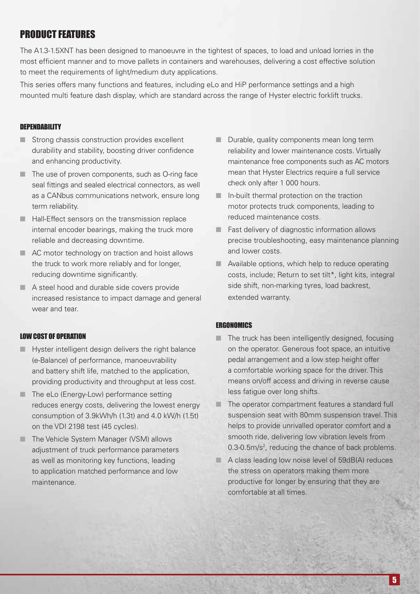## PRODUCT FEATURES

The A1.3-1.5XNT has been designed to manoeuvre in the tightest of spaces, to load and unload lorries in the most efficient manner and to move pallets in containers and warehouses, delivering a cost effective solution to meet the requirements of light/medium duty applications.

This series offers many functions and features, including eLo and HiP performance settings and a high mounted multi feature dash display, which are standard across the range of Hyster electric forklift trucks.

#### **DEPENDABILITY**

- $\blacksquare$  Strong chassis construction provides excellent durability and stability, boosting driver confidence and enhancing productivity.
- $\blacksquare$  The use of proven components, such as O-ring face seal fittings and sealed electrical connectors, as well as a CANbus communications network, ensure long term reliability.
- $\blacksquare$  Hall-Effect sensors on the transmission replace internal encoder bearings, making the truck more reliable and decreasing downtime.
- n AC motor technology on traction and hoist allows the truck to work more reliably and for longer, reducing downtime significantly.
- A steel hood and durable side covers provide increased resistance to impact damage and general wear and tear.

#### LOW COST OF OPERATION

- $\blacksquare$  Hyster intelligent design delivers the right balance (e-Balance) of performance, manoeuvrability and battery shift life, matched to the application, providing productivity and throughput at less cost.
- $\blacksquare$  The eLo (Energy-Low) performance setting reduces energy costs, delivering the lowest energy consumption of 3.9kWh/h (1.3t) and 4.0 kW/h (1.5t) on the VDI 2198 test (45 cycles).
- **n** The Vehicle System Manager (VSM) allows adjustment of truck performance parameters as well as monitoring key functions, leading to application matched performance and low maintenance.
- **n** Durable, quality components mean long term reliability and lower maintenance costs. Virtually maintenance free components such as AC motors mean that Hyster Electrics require a full service check only after 1 000 hours.
- $\blacksquare$  In-built thermal protection on the traction motor protects truck components, leading to reduced maintenance costs.
- $\blacksquare$  Fast delivery of diagnostic information allows precise troubleshooting, easy maintenance planning and lower costs.
- $\blacksquare$  Available options, which help to reduce operating costs, include; Return to set tilt\*, light kits, integral side shift, non-marking tyres, load backrest, extended warranty.

#### **ERGONOMICS**

- $\blacksquare$  The truck has been intelligently designed, focusing on the operator. Generous foot space, an intuitive pedal arrangement and a low step height offer a comfortable working space for the driver. This means on/off access and driving in reverse cause less fatigue over long shifts.
- $\blacksquare$  The operator compartment features a standard full suspension seat with 80mm suspension travel. This helps to provide unrivalled operator comfort and a smooth ride, delivering low vibration levels from 0.3-0.5m/s<sup>2</sup>, reducing the chance of back problems.
- $A$  class leading low noise level of 59dB(A) reduces the stress on operators making them more productive for longer by ensuring that they are comfortable at all times.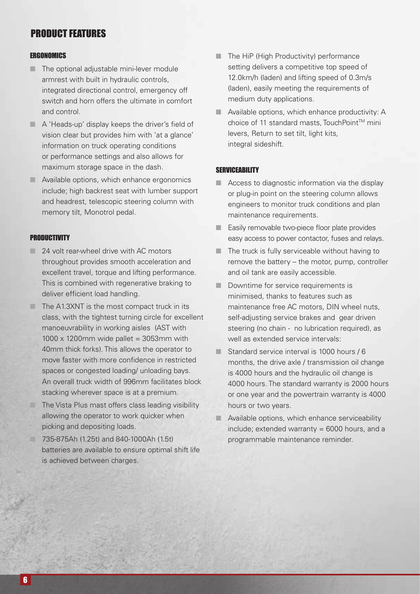## PRODUCT FEATURES

#### **ERGONOMICS**

- $\blacksquare$  The optional adjustable mini-lever module armrest with built in hydraulic controls, integrated directional control, emergency off switch and horn offers the ultimate in comfort and control.
- $\blacksquare$  A 'Heads-up' display keeps the driver's field of vision clear but provides him with 'at a glance' information on truck operating conditions or performance settings and also allows for maximum storage space in the dash.
- $\blacksquare$  Available options, which enhance ergonomics include; high backrest seat with lumber support and headrest, telescopic steering column with memory tilt, Monotrol pedal.

#### **PRODUCTIVITY**

- $\Box$  24 volt rear-wheel drive with AC motors throughout provides smooth acceleration and excellent travel, torque and lifting performance. This is combined with regenerative braking to deliver efficient load handling.
- $\blacksquare$  The A1.3XNT is the most compact truck in its class, with the tightest turning circle for excellent manoeuvrability in working aisles (AST with  $1000 \times 1200$ mm wide pallet = 3053mm with 40mm thick forks). This allows the operator to move faster with more confidence in restricted spaces or congested loading/ unloading bays. An overall truck width of 996mm facilitates block stacking wherever space is at a premium.
- $\Box$  The Vista Plus mast offers class leading visibility allowing the operator to work quicker when picking and depositing loads.
- n 735-875Ah (1.25t) and 840-1000Ah (1.5t) batteries are available to ensure optimal shift life is achieved between charges.
- $\blacksquare$  The HiP (High Productivity) performance setting delivers a competitive top speed of 12.0km/h (laden) and lifting speed of 0.3m/s (laden), easily meeting the requirements of medium duty applications.
- **N** Available options, which enhance productivity: A choice of 11 standard masts, TouchPoint™ mini levers, Return to set tilt, light kits, integral sideshift.

#### **SERVICEABILITY**

- $\blacksquare$  Access to diagnostic information via the display or plug-in point on the steering column allows engineers to monitor truck conditions and plan maintenance requirements.
- **n** Easily removable two-piece floor plate provides easy access to power contactor, fuses and relays.
- $\blacksquare$  The truck is fully serviceable without having to remove the battery – the motor, pump, controller and oil tank are easily accessible.
- Downtime for service requirements is minimised, thanks to features such as maintenance free AC motors, DIN wheel nuts, self-adjusting service brakes and gear driven steering (no chain - no lubrication required), as well as extended service intervals:
- Standard service interval is 1000 hours  $/ 6$ months, the drive axle / transmission oil change is 4000 hours and the hydraulic oil change is 4000 hours. The standard warranty is 2000 hours or one year and the powertrain warranty is 4000 hours or two years.
- $\blacksquare$  Available options, which enhance serviceability  $include$ ; extended warranty = 6000 hours, and a programmable maintenance reminder.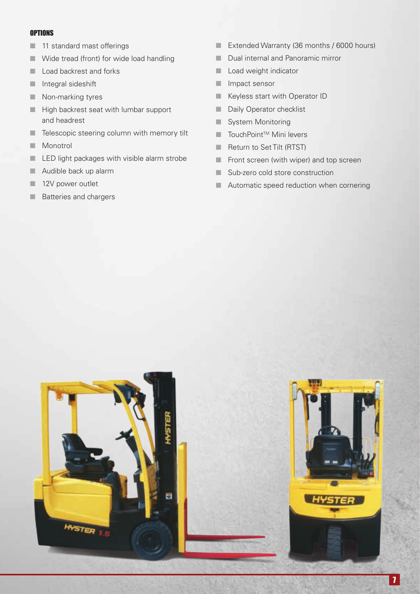#### **OPTIONS**

- $\blacksquare$  11 standard mast offerings
- $\blacksquare$  Wide tread (front) for wide load handling
- **n** Load backrest and forks
- $\blacksquare$  Integral sideshift
- $\blacksquare$  Non-marking tyres
- **n** High backrest seat with lumbar support and headrest
- **n** Telescopic steering column with memory tilt
- **Nonotrol**
- **n** LED light packages with visible alarm strobe
- $\blacksquare$  Audible back up alarm
- 12V power outlet
- **n** Batteries and chargers
- Extended Warranty (36 months / 6000 hours)
- Dual internal and Panoramic mirror
- **n** Load weight indicator
- **n** Impact sensor
- **Now Keyless start with Operator ID**
- **n** Daily Operator checklist
- **No. 3** System Monitoring
- $\blacksquare$  TouchPoint<sup>™</sup> Mini levers
- **n** Return to Set Tilt (RTST)
- $\blacksquare$  Front screen (with wiper) and top screen
- Sub-zero cold store construction
- **n** Automatic speed reduction when cornering